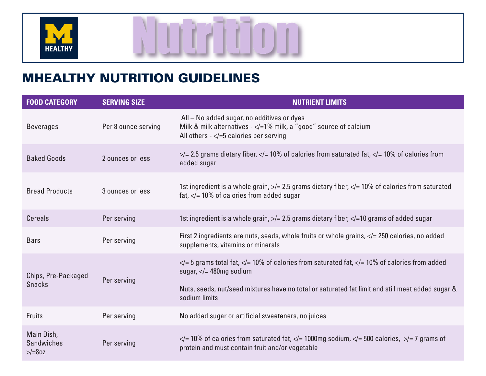

## MHEALTHY NUTRITION GUIDELINES

| <b>FOOD CATEGORY</b>                         | <b>SERVING SIZE</b> | <b>NUTRIENT LIMITS</b>                                                                                                                                                         |
|----------------------------------------------|---------------------|--------------------------------------------------------------------------------------------------------------------------------------------------------------------------------|
| <b>Beverages</b>                             | Per 8 ounce serving | All - No added sugar, no additives or dyes<br>Milk & milk alternatives $-\leq$ = 1% milk, a "good" source of calcium<br>All others $-\le$ $\le$ 5 calories per serving         |
| <b>Baked Goods</b>                           | 2 ounces or less    | $\ge$ /= 2.5 grams dietary fiber, $\lt$ /= 10% of calories from saturated fat, $\lt$ /= 10% of calories from<br>added sugar                                                    |
| <b>Bread Products</b>                        | 3 ounces or less    | 1st ingredient is a whole grain, $\frac{1}{2}$ 2.5 grams dietary fiber, $\frac{1}{2}$ 10% of calories from saturated<br>fat, $\langle$ = 10% of calories from added sugar      |
| <b>Cereals</b>                               | Per serving         | 1st ingredient is a whole grain, $\frac{1}{2}$ 2.5 grams dietary fiber, $\frac{1}{2}$ 10 grams of added sugar                                                                  |
| <b>Bars</b>                                  | Per serving         | First 2 ingredients are nuts, seeds, whole fruits or whole grains, $\lt/=$ 250 calories, no added<br>supplements, vitamins or minerals                                         |
| Chips, Pre-Packaged<br><b>Snacks</b>         | Per serving         | $\langle$ = 5 grams total fat, $\langle$ = 10% of calories from saturated fat, $\langle$ = 10% of calories from added<br>sugar, $\lt/=$ 480mg sodium                           |
|                                              |                     | Nuts, seeds, nut/seed mixtures have no total or saturated fat limit and still meet added sugar &<br>sodium limits                                                              |
| <b>Fruits</b>                                | Per serving         | No added sugar or artificial sweeteners, no juices                                                                                                                             |
| Main Dish,<br><b>Sandwiches</b><br>$>$ /=80z | Per serving         | $\langle$ = 10% of calories from saturated fat, $\langle$ = 1000mg sodium, $\langle$ = 500 calories, $\rangle$ = 7 grams of<br>protein and must contain fruit and/or vegetable |